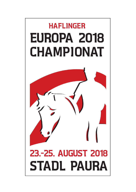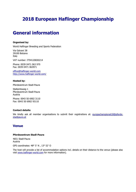# **2018 European Haflinger Championship**

# **General information**

#### **Organised by:**

World Haflinger Breeding and Sports Federation

Via Galvani 38 39100 Bolzano Italy

VAT number: IT94120830214

Phone: 0039 0471 063 970 Fax: 0039 0471 063971

[office@haflinger-world.com](mailto:office@haflinger-world.com) http://www.haflinger-world.com/

#### **Hosted by:**

Pferdezentrum Stadl-Paura

Stallamtsweg 1 Pferdezentrum Stadl-Paura Austria

Phone: 0043 50 6902 3110 Fax: 0043 50 6902 93110

#### **Contact details:**

We kindly ask all member organisations to submit their registrations at: [europachampionat18@pferde](mailto:europachampionat18@pferde-stadlpaura.at)[stadlpaura.at](mailto:europachampionat18@pferde-stadlpaura.at)

### **Venue**

#### **Pferdezentrum Stadl-Paura**

4651 Stadl-Paura Austria

GPS coordinates: 48° 5′ N , 13° 52′ O

The host will provide a list of accommodation options incl. details on their distance to the venue (please also visit [www.haflinger-world.com](http://www.haflinger-world.com/) for more information).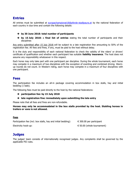### **Entries**

All entries must be submitted at [europachampionat18@pferde-stadlpaura.at](mailto:europachampionat18@pferde-stadlpaura.at) by the national federation of each country in due time and contain the following details:

#### **by 30 June 2018: total number of participants**

 **by 15 July 2018:** a **final list of entries** stating the total number of participants and their disciplines

Any entry submitted after 15 July 2018 will be subject to a late registration fine amounting to 50% of the registration fee. All fees and fines, if any, must be paid to the host without delay.

It is the duty and responsibility of each national federation to check the validity of the riders' or drivers' certificate of qualification and whether each participant has suitable **liability insurance**. The host does not assume any responsibility whatsoever in this respect.

Each horse may only take part with one participant per discipline. During the whole tournament, each horse may compete in a maximum of two disciplines with the exception of eventing and combined driving. Warmup rounds do not count. In Western riding, each horse may compete in a maximum of four disciplines with one participant.

### **Fees**

The participation fee includes an all-in package covering accommodation in box stalls, hay and initial bedding (1 bale).

The following fees must be paid directly to the host by the national federations:

**participation fee: by 15 July 2018**

#### $\rightarrow$  late registration fine: immediately upon submitting the late entry

Please note that all fees and fines are non-refundable.

**Horses may only be accommodated in the box stalls provided by the host. Stabling horses in trailers or vans is not allowed.**

#### **Fees**

Participation fee (incl. box stalls, hay and initial bedding):  $\epsilon$  300.00 per participant Electricity hook-up:  $\epsilon$  50.00 (whole tournament)

### **Judges**

The judges' team consists of internationally recognised judges. Any complaints shall be governed by the applicable FEI rules.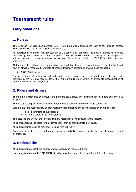# **Tournament rules**

### **Entry conditions**

### **1. Horses**

The European Haflinger Championship (EUCH) is an international tournament reserved for Haflinger horses. The 2018 EUCH takes places in Stadl-Paura (Austria).

All participating countries may register up to 12 contestants per test. The host is entitled to increase individual quotas at their discretion. Competitors from all WHBSF member organisations and competitors with a personal invitation are eligible to take part. In addition to that, the WHBSF is entitled to issue wild cards.

All horses of the Haflinger breed are eligible, provided that they are registered in an official stud book and own an officially recognised certificate of lineage. Maximum percentage of Arab blood admissible:

#### **1.56 %** (all ages)

During the entire Championship, all participating horses must be accommodated only in the box stalls provided by the host and may not leave the venue grounds under penalty of immediate disqualification of both the horse and the rider/driver.

### **2. Riders and drivers**

There is no division into age groups and performance classes. The minimum age for riders and drivers is 12 years.

The title of "Champion" is only awarded in tournament classes with three or more contestants.

It is the duty and responsibility of each registering federation to check if the riders or drivers possess:

- a valid certificate of qualification
- valid and suitable liability insurance

The host and the WHBSF shall not assume any responsibility whatsoever in this respect.

All participants shall be liable for any damage that they or their animals may cause.

All participants take part at their own risk and with full liability.

Dogs must be kept on a lead on the entire venue grounds. Dog owners shall be liable for all damage caused by their dog.

### **3. Nationalities**

All participants represent the country which selected and registered them.

Horses rejected during the 2018 EUCH eligibility procedure may not compete for a different country.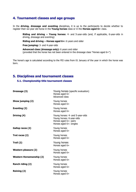### **4. Tournament classes and age groups**

In the **driving, dressage and eventing** disciplines, it is up to the participants to decide whether to register their six-year old horse in the **Young horses** class or in the **Horses aged 6+** class.

**Riding and driving – Young horses:** 4- and 5-year-olds (and, if applicable, 6-year-olds in driving, dressage and eventing)

**Riding and driving – Horses aged 6+:** 6 years and older

**Free jumping:** 3- and 4-year-olds

**Advanced class (dressage only):** 6 years and older (provided that the horse has not been entered in the dressage class "Horses aged 6+")

The horse's age is calculated according to the FEI rules from 01 January of the year in which the horse was born.

### **5. Disciplines and tournament classes**

#### **5.1. Championship title tournament classes**

| Dressage (3)                    | Young horses (specific evaluation)<br>Horses aged 6+<br>Advanced class                                            |
|---------------------------------|-------------------------------------------------------------------------------------------------------------------|
| Show jumping (2)                | Young horses<br>Horses aged 6+                                                                                    |
| Eventing (2)                    | Young horses<br>Horses aged 6+                                                                                    |
| Driving (4)                     | Young horses: 4- and 5-year-olds<br>Young horses: 6-year-olds<br>Horses aged 6+: pairs<br>Horses aged 6+: singles |
| Gallop races (2)                | Young horses<br>Horses aged 6+                                                                                    |
| Trot races (2)                  | Young horses<br>Horses aged 6+                                                                                    |
| Trail (2)                       | Young horses<br>Horses aged 6+                                                                                    |
| Western pleasure (2)            | Young horses<br>Horses aged 6+                                                                                    |
| <b>Western Horsemanship (2)</b> | Young horses<br>Horses aged 6+                                                                                    |
| Ranch riding (2)                | Young horses<br>Horses aged 6+                                                                                    |
| <b>Reining (2)</b>              | Young horses<br>Horses aged 6+                                                                                    |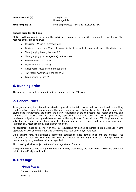| <b>Mountain trail (2)</b> | Young horses<br>Horses aged 6+                 |
|---------------------------|------------------------------------------------|
| Free jumping (1)          | Free jumping class (rules and regulations TBC) |

#### **Special prize for stallions**

Stallions with outstanding results in the individual tournament classes will be awarded a special prize. The required details are as follows:

- Dressage: 65% in all dressage tests
- Driving: no more than 65 penalty points in the dressage test upon conclusion of the driving test
- Show jumping (Young horses): 7.0
- Show jumping (Horses aged 6+): 0 time faults
- Western tests: 70 (score)
- Mountain trail: 70 (score)
- Gallop races: must finish in the top third
- Trot races: must finish in the top third
- Free jumping: 7 (score)

### **6. Running order**

The running orders will be determined in accordance with the FEI rules.

### **7. General rules**

As a general rule, the international standard provisions for fair play as well as correct and rule-abiding sportsmanship in equestrian sports and the protection of animals shall apply for the entire duration of the tournament. Furthermore, the health and safety regulations of the competent local health authority and veterinary office must be observed at all times, especially in reference to vaccination. Where applicable, the provisions, obligations and prohibitions laid out in the regulations of the individual FEI disciplines shall be valid for the event in question, without differentiation between ponies and horses, or any other internationally recognised regulation and/or rule book.

All equipment must be in line with the FEI regulations for ponies or horses (both permitted), where applicable, or with any other internationally recognised regulation and/or rule book.

On a general note, the applicable framework consists of these general rules and the individual FEI regulations as per discipline. Any discipline not covered by FEI regulations shall be governed by internationally recognised regulations as specified.

All trot racing shall be subject to the national regulations of Austria.

If required, the host may at any time amend or modify these rules, the tournament classes and any other point not specifically mentioned.

### **8. Dressage**

#### **Young horses**

Dressage arena: 20 x 40 m Warm-up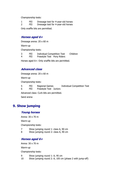Championship tests:

1 FEI Dressage test for 4-year-old horses 2 FEI Dressage test for 4-year-old horses Only snaffle bits are permitted.

#### **Horses aged 6+**

Dressage arena: 20 x 60 m

Warm-up

Championship tests:

3 FEI Individual Competition Test Children<br>4 FEI Freestyle Test Pony Riders

FEI Freestyle Test Pony Riders

Horses aged 6+: Only snaffle bits are permitted.

#### **Advanced class**

Dressage arena: 20 x 60 m

Warm-up

Championship tests:

5 FEI Regional Games Individual Competition Test<br>6 FEI Freestyle Test Juniors

Freestyle Test Juniors

Advanced class: Curb bits are permitted.

Sand arena

### **9. Show jumping**

#### **Young horses**

Arena: 30 x 70 m

Warm-up

Championship tests:

7 Show jumping round 1: class A, 90 cm

8 Show jumping round 2: class A, 90 cm

#### **Horses aged 6+**

Arena: 30 x 70 m

Warm-up

Championship tests:

9 Show jumping round 1: A, 95 cm<br>10 Show jumping round 2: A, 105 cm

Show jumping round 2: A, 105 cm (phase 2 with jump-off)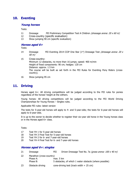### **10. Eventing**

#### **Young horses**

#### Tests:

- 11 Dressage FEI Preliminary Competition Test A Children (dressage arena: 20 x 60 m)
- 12 Cross-country (specific evaluation)
- 13 Show jumping 90 cm (specific evaluation)

#### **Horses aged 6+**

Tests:

- 14 Dressage FEI Eventing 2014 CCIP One Star  $(1^*)$  Dressage Test *(dressage arena: 20 x* 60 m)
- 15 Cross-country: Minimum 12 obstacles, no more than 16 jumps; speed: 400 m/min Height of fixed components: 90 cm; hedges: 120 cm Distance: approx. 1.5 km The course will be built as set forth in the FEI Rules for Eventing Pony Riders (crosscountry).
- 16 Show jumping 95 cm

### **11. Driving**

Horses aged 6+: All driving competitions will be judged according to the FEI rules for ponies regardless of the horses' height at the withers.

Young horses: All driving competitions will be judged according to the FEI World Driving Championships for Young Horses – Singles rules.

Applicable FEI rules: latest version

The tests for 5-year-old horses will apply to 4- and 5-year-olds; the tests for 6-year-old horses will apply to 6-year-olds.

It is up to the owner to decide whether to register their six-year old horse in the Young horses class or in the Horses aged 6+ class.

#### Tests:

- 17 Test YH 1 for 5-year-old horses
- 18 Test YH 3 Final Test for 5-year-old horses
- 19 Test YH 2 for 6- and 7-year-old horses
- 20 Test YH 4 Final Test for 6- and 7-year-old horses

#### **Horses aged 6+: singles**

| 21 | Dressage                              | FEI | Driven Dressage Test No. 7a (grass arena: 100 x 40 m)   |
|----|---------------------------------------|-----|---------------------------------------------------------|
| 22 | Marathon (cross-country)<br>max. 5 km |     |                                                         |
|    | Phase A:                              |     |                                                         |
|    | Phase B:                              |     | 5 obstacles, of which 1 water obstacle (where possible) |
| 23 | Obstacle driving                      |     | cone-driving test (track width $+25$ cm)                |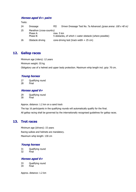### **Horses aged 6+: pairs**

Tests:

| 24 | Dressage                 | <b>FEI</b> | Driven Dressage Test No. 7a Advanced (grass arena: 100 x 40 m) |  |
|----|--------------------------|------------|----------------------------------------------------------------|--|
| 25 | Marathon (cross-country) |            |                                                                |  |
|    | Phase A:                 | max. 5 km  |                                                                |  |
|    | Phase B:                 |            | 5 obstacles, of which 1 water obstacle (where possible)        |  |
| 26 | Obstacle driving         |            | cone-driving test (track width $+25$ cm)                       |  |

### **12. Gallop races**

Minimum age (riders): 12 years Minimum weight: 55 kg Obligatory use of a helmet and upper body protection. Maximum whip length incl. grip: 70 cm.

### **Young horses**

27 Qualifying round

28 Final

### **Horses aged 6+**

29 Qualifying round 30 Final

Approx. distance: 1.2 km on a sand track

The top 16 participants in the qualifying rounds will automatically qualify for the final. All gallop racing shall be governed by the internationally recognised guidelines for gallop races.

### **13. Trot races**

Minimum age (drivers): 15 years Racing sulkies and helmets are mandatory. Maximum whip length: 130 cm

### **Young horses**

31 Qualifying round 32 Final

### **Horses aged 6+**

33 Qualifying round<br>34 Final **Final** 

Approx. distance: 1.2 km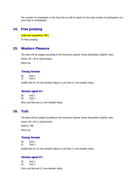The number of contestants in the final line-up will be based on the total number of participants (no more than 6 contestants).

### **14. Free jumping**

(rules and regulations TBC) 35 Free jumping

### **15. Western Pleasure**

The tests will be judged according to the American Quarter Horse Association (AQHA) rules. Arena: 60 x 40 m (sand arena) Warm-up

### **Young horses**

36 Test 1 37 Test 2 Snaffle bits for (2) two-handed riding or curb bits (1) one-handed riding

#### **Horses aged 6+**

38 Test 1 39 Test 2 Only curb bits and (1) one-handed riding

### **16. Trail**

The tests will be judged according to the American Quarter Horse Association (AQHA) rules. Arena: 60 x 40 m (sand arena) Pattern: TBC

Warm-up

### **Young horses**

40 Test 1 41 Test 2

Snaffle bits for (2) two-handed riding or curb bits (1) one-handed riding

#### **Horses aged 6+**

42 Test 1 43 Test 2

Only curb bits and (1) one-handed riding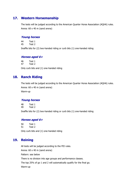### **17. Western Horsemanship**

The tests will be judged according to the American Quarter Horse Association (AQHA) rules. Arena: 60 x 40 m (sand arena)

#### **Young horses**

44 Test 1 45 Test 2

Snaffle bits for (2) two-handed riding or curb bits (1) one-handed riding

#### **Horses aged 6+**

46 Test 1 47 Test 2 Only curb bits and (1) one-handed riding

### **18. Ranch Riding**

The tests will be judged according to the American Quarter Horse Association (AQHA) rules. Arena: 60 x 40 m (sand arena) Warm-up

#### **Young horses**

48 Test 1 49 Test 2

Snaffle bits for (2) two-handed riding or curb bits (1) one-handed riding

#### **Horses aged 6+**

50 Test 1 51 Test 2 Only curb bits and (1) one-handed riding

### **19. Reining**

All tests will be judged according to the FEI rules. Arena: 60 x 40 m (sand arena) Pattern: see below There is no division into age groups and performance classes. The top 25% of go 1 and 2 will automatically qualify for the final go. Warm-up